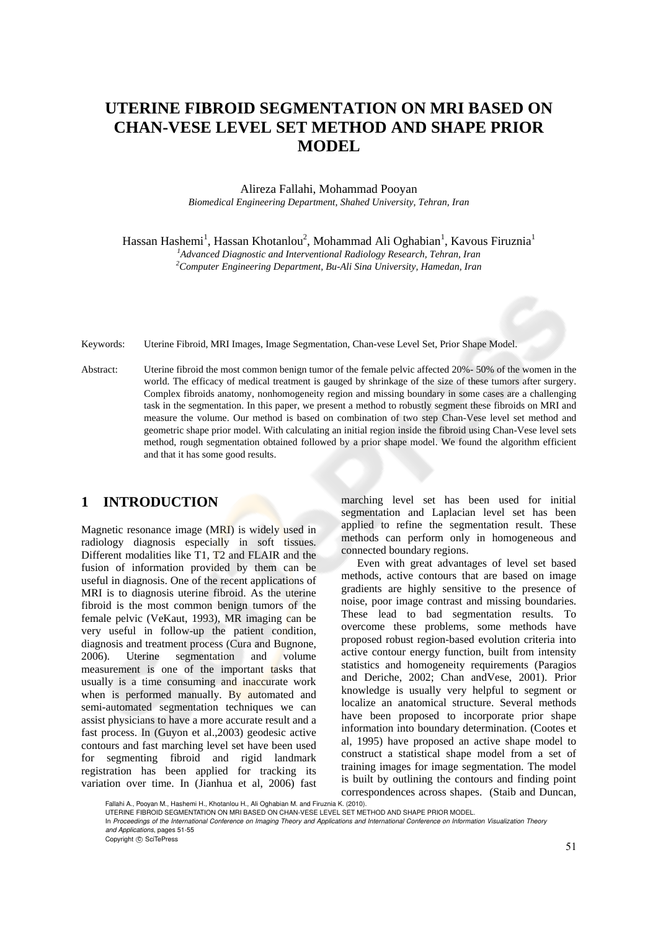# **UTERINE FIBROID SEGMENTATION ON MRI BASED ON CHAN-VESE LEVEL SET METHOD AND SHAPE PRIOR MODEL**

Alireza Fallahi, Mohammad Pooyan *Biomedical Engineering Department, Shahed University, Tehran, Iran* 

Hassan Hashemi<sup>1</sup>, Hassan Khotanlou<sup>2</sup>, Mohammad Ali Oghabian<sup>1</sup>, Kavous Firuznia<sup>1</sup>

*<sup>1</sup>Advanced Diagnostic and Interventional Radiology Research, Tehran, Iran <sup>2</sup>Computer Engineering Department, Bu-Ali Sina University, Hamedan, Iran* 

Keywords: Uterine Fibroid, MRI Images, Image Segmentation, Chan-vese Level Set, Prior Shape Model.

Abstract: Uterine fibroid the most common benign tumor of the female pelvic affected 20%- 50% of the women in the world. The efficacy of medical treatment is gauged by shrinkage of the size of these tumors after surgery. Complex fibroids anatomy, nonhomogeneity region and missing boundary in some cases are a challenging task in the segmentation. In this paper, we present a method to robustly segment these fibroids on MRI and measure the volume. Our method is based on combination of two step Chan-Vese level set method and geometric shape prior model. With calculating an initial region inside the fibroid using Chan-Vese level sets method, rough segmentation obtained followed by a prior shape model. We found the algorithm efficient and that it has some good results.

# **1 INTRODUCTION**

Magnetic resonance image (MRI) is widely used in radiology diagnosis especially in soft tissues. Different modalities like T1, T2 and FLAIR and the fusion of information provided by them can be useful in diagnosis. One of the recent applications of MRI is to diagnosis uterine fibroid. As the uterine fibroid is the most common benign tumors of the female pelvic (VeKaut, 1993), MR imaging can be very useful in follow-up the patient condition, diagnosis and treatment process (Cura and Bugnone, 2006). Uterine segmentation and volume measurement is one of the important tasks that usually is a time consuming and inaccurate work when is performed manually. By automated and semi-automated segmentation techniques we can assist physicians to have a more accurate result and a fast process. In (Guyon et al.,2003) geodesic active contours and fast marching level set have been used for segmenting fibroid and rigid landmark registration has been applied for tracking its variation over time. In (Jianhua et al, 2006) fast

marching level set has been used for initial segmentation and Laplacian level set has been applied to refine the segmentation result. These methods can perform only in homogeneous and connected boundary regions.

Even with great advantages of level set based methods, active contours that are based on image gradients are highly sensitive to the presence of noise, poor image contrast and missing boundaries. These lead to bad segmentation results. To overcome these problems, some methods have proposed robust region-based evolution criteria into active contour energy function, built from intensity statistics and homogeneity requirements (Paragios and Deriche, 2002; Chan andVese, 2001). Prior knowledge is usually very helpful to segment or localize an anatomical structure. Several methods have been proposed to incorporate prior shape information into boundary determination. (Cootes et al, 1995) have proposed an active shape model to construct a statistical shape model from a set of training images for image segmentation. The model is built by outlining the contours and finding point correspondences across shapes. (Staib and Duncan,

Fallahi A., Pooyan M., Hashemi H., Khotanlou H., Ali Oghabian M. and Firuznia K. (2010).

UTERINE FIBROID SEGMENTATION ON MRI BASED ON CHAN-VESE LEVEL SET METHOD AND SHAPE PRIOR MODEL.

In *Proceedings of the International Conference on Imaging Theory and Applications and International Conference on Information Visualization Theory and Applications*, pages 51-55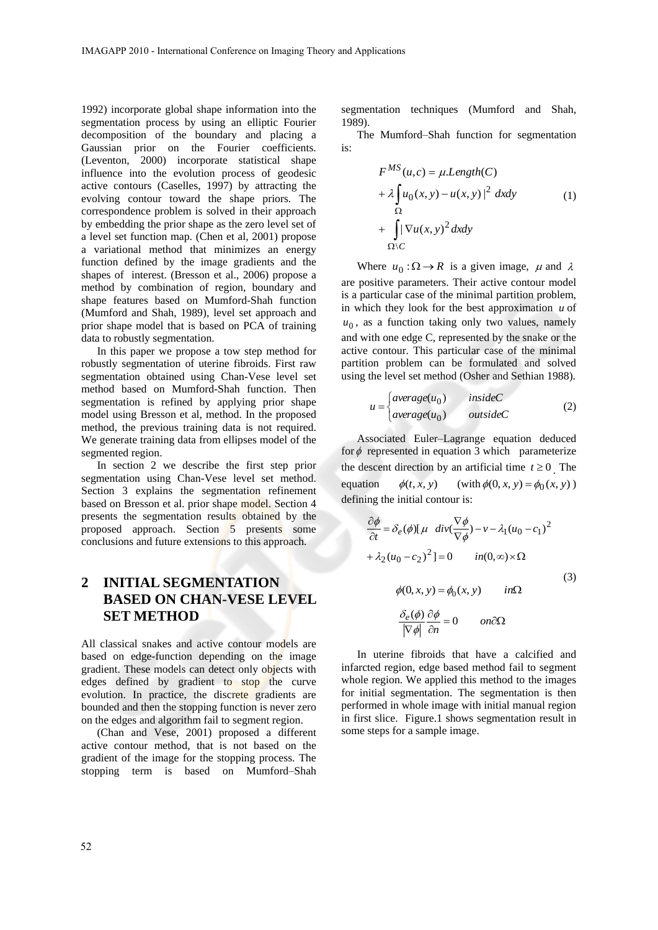1992) incorporate global shape information into the segmentation process by using an elliptic Fourier decomposition of the boundary and placing a Gaussian prior on the Fourier coefficients. (Leventon, 2000) incorporate statistical shape influence into the evolution process of geodesic active contours (Caselles, 1997) by attracting the evolving contour toward the shape priors. The correspondence problem is solved in their approach by embedding the prior shape as the zero level set of a level set function map. (Chen et al, 2001) propose a variational method that minimizes an energy function defined by the image gradients and the shapes of interest. (Bresson et al., 2006) propose a method by combination of region, boundary and shape features based on Mumford-Shah function (Mumford and Shah, 1989), level set approach and prior shape model that is based on PCA of training data to robustly segmentation.

In this paper we propose a tow step method for robustly segmentation of uterine fibroids. First raw segmentation obtained using Chan-Vese level set method based on Mumford-Shah function. Then segmentation is refined by applying prior shape model using Bresson et al, method. In the proposed method, the previous training data is not required. We generate training data from ellipses model of the segmented region.

In section 2 we describe the first step prior segmentation using Chan-Vese level set method. Section 3 explains the segmentation refinement based on Bresson et al. prior shape model. Section 4 presents the segmentation results obtained by the proposed approach. Section 5 presents some conclusions and future extensions to this approach.

# **2 INITIAL SEGMENTATION BASED ON CHAN-VESE LEVEL SET METHOD**

All classical snakes and active contour models are based on edge-function depending on the image gradient. These models can detect only objects with edges defined by gradient to stop the curve evolution. In practice, the discrete gradients are bounded and then the stopping function is never zero on the edges and algorithm fail to segment region.

(Chan and Vese, 2001) proposed a different active contour method, that is not based on the gradient of the image for the stopping process. The stopping term is based on Mumford–Shah

segmentation techniques (Mumford and Shah, 1989).

The Mumford–Shah function for segmentation is:

$$
F^{MS}(u,c) = \mu.Length(C)
$$
  
+  $\lambda \int_{\Omega} u_0(x, y) - u(x, y)|^2 dx dy$   
+  $\int_{\Omega \setminus C} |\nabla u(x, y)|^2 dx dy$  (1)

Where  $u_0$ :  $\Omega \rightarrow R$  is a given image,  $\mu$  and  $\lambda$ are positive parameters. Their active contour model is a particular case of the minimal partition problem, in which they look for the best approximation  $u$  of  $u_0$ , as a function taking only two values, namely and with one edge C, represented by the snake or the active contour. This particular case of the minimal partition problem can be formulated and solved using the level set method (Osher and Sethian 1988).

$$
u = \begin{cases} average(u_0) & insideC \\ average(u_0) & outsideC \end{cases}
$$
 (2)

Associated Euler–Lagrange equation deduced for  $\phi$  represented in equation 3 which parameterize the descent direction by an artificial time  $t \ge 0$ . The equation  $\phi(t, x, y)$ (with  $\phi(0, x, y) = \phi_0(x, y)$ ) defining the initial contour is:

$$
\frac{\partial \phi}{\partial t} = \delta_e(\phi)[\mu \operatorname{div}(\frac{\nabla \phi}{\nabla \phi}) - \nu - \lambda_1 (u_0 - c_1)^2
$$
  
+  $\lambda_2 (u_0 - c_2)^2] = 0$  in  $(0, \infty) \times \Omega$   
 $\phi(0, x, y) = \phi_0(x, y)$  in  $\Omega$   
 $\frac{\delta_e(\phi)}{|\nabla \phi|} \frac{\partial \phi}{\partial n} = 0$  on  $\partial\Omega$ 

In uterine fibroids that have a calcified and infarcted region, edge based method fail to segment whole region. We applied this method to the images for initial segmentation. The segmentation is then performed in whole image with initial manual region in first slice. Figure.1 shows segmentation result in some steps for a sample image.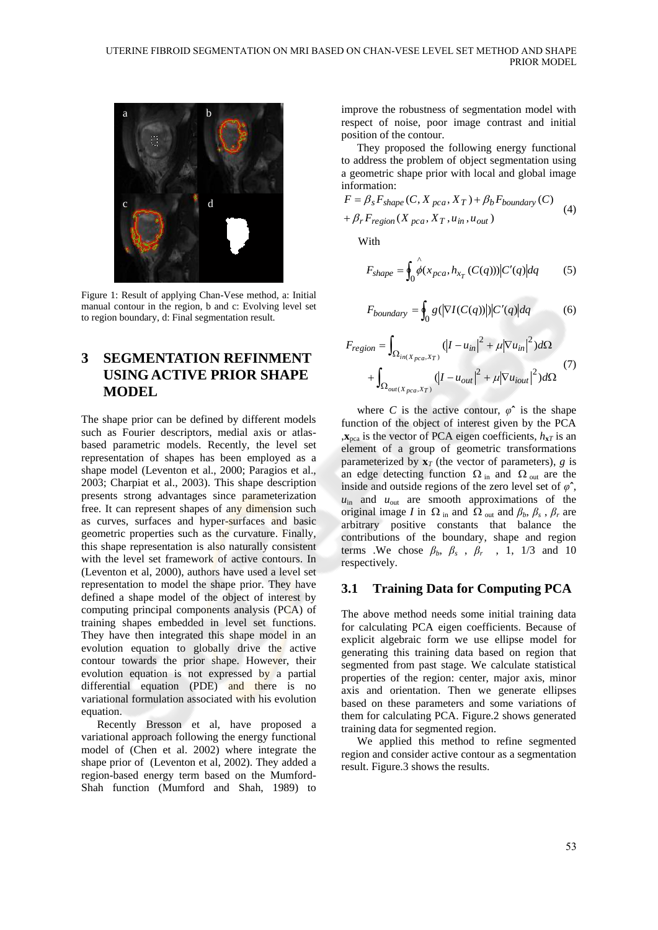

Figure 1: Result of applying Chan-Vese method, a: Initial manual contour in the region, b and c: Evolving level set to region boundary, d: Final segmentation result.

# **3 SEGMENTATION REFINMENT USING ACTIVE PRIOR SHAPE MODEL**

The shape prior can be defined by different models such as Fourier descriptors, medial axis or atlasbased parametric models. Recently, the level set representation of shapes has been employed as a shape model (Leventon et al., 2000; Paragios et al., 2003; Charpiat et al., 2003). This shape description presents strong advantages since parameterization free. It can represent shapes of any dimension such as curves, surfaces and hyper-surfaces and basic geometric properties such as the curvature. Finally, this shape representation is also naturally consistent with the level set framework of active contours. In (Leventon et al, 2000), authors have used a level set representation to model the shape prior. They have defined a shape model of the object of interest by computing principal components analysis (PCA) of training shapes embedded in level set functions. They have then integrated this shape model in an evolution equation to globally drive the active contour towards the prior shape. However, their evolution equation is not expressed by a partial differential equation (PDE) and there is no variational formulation associated with his evolution equation.

Recently Bresson et al, have proposed a variational approach following the energy functional model of (Chen et al. 2002) where integrate the shape prior of (Leventon et al, 2002). They added a region-based energy term based on the Mumford-Shah function (Mumford and Shah, 1989) to

improve the robustness of segmentation model with respect of noise, poor image contrast and initial position of the contour.

They proposed the following energy functional to address the problem of object segmentation using a geometric shape prior with local and global image information:

$$
F = \beta_s F_{shape}(C, X_{pca}, X_T) + \beta_b F_{boundary}(C)
$$
  
+  $\beta_r F_{region}(X_{pca}, X_T, u_{in}, u_{out})$  (4)

With

$$
F_{shape} = \oint_0 \hat{\phi}(x_{pca}, h_{x_T}(C(q))) |C'(q)| dq \qquad (5)
$$

$$
F_{boundary} = \oint_0 g(|\nabla I(C(q))|) |C'(q)| dq \tag{6}
$$

$$
F_{region} = \int_{\Omega_{in(X_{pca}, X_T)}} (|I - u_{in}|^2 + \mu |\nabla u_{in}|^2) d\Omega
$$
  
+ 
$$
\int_{\Omega_{out(X_{pca}, X_T)}} (|I - u_{out}|^2 + \mu |\nabla u_{iout}|^2) d\Omega
$$
 (7)

where *C* is the active contour,  $\varphi^*$  is the shape function of the object of interest given by the PCA  $\mathbf{x}_{\text{nea}}$  is the vector of PCA eigen coefficients,  $h_{\mathbf{x}T}$  is an element of a group of geometric transformations parameterized by  $\mathbf{x}_T$  (the vector of parameters), *g* is an edge detecting function  $\Omega$ <sub>in</sub> and  $\Omega$ <sub>out</sub> are the inside and outside regions of the zero level set of *φ***ˆ**, *u*in and *u*out are smooth approximations of the original image *I* in  $\Omega$ <sub>in</sub> and  $\Omega$ <sub>out</sub> and  $\beta_b$ ,  $\beta_s$ ,  $\beta_r$  are arbitrary positive constants that balance the contributions of the boundary, shape and region terms .We chose  $\beta_b$ ,  $\beta_s$ ,  $\beta_r$ , 1, 1/3 and 10 respectively.

#### **3.1 Training Data for Computing PCA**

The above method needs some initial training data for calculating PCA eigen coefficients. Because of explicit algebraic form we use ellipse model for generating this training data based on region that segmented from past stage. We calculate statistical properties of the region: center, major axis, minor axis and orientation. Then we generate ellipses based on these parameters and some variations of them for calculating PCA. Figure.2 shows generated training data for segmented region.

We applied this method to refine segmented region and consider active contour as a segmentation result. Figure.3 shows the results.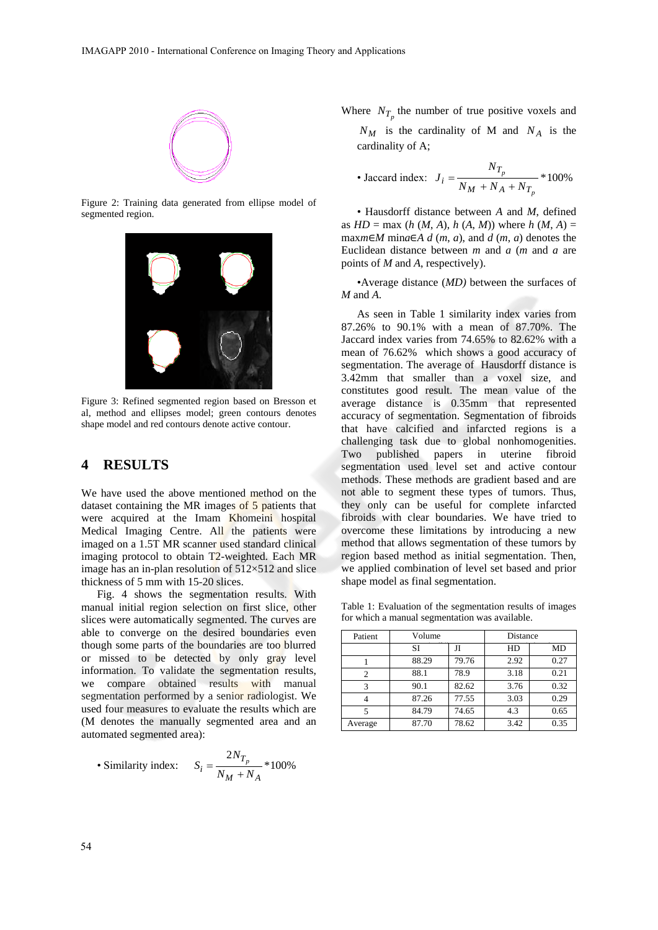

Figure 2: Training data generated from ellipse model of segmented region.



Figure 3: Refined segmented region based on Bresson et al, method and ellipses model; green contours denotes shape model and red contours denote active contour.

### **4 RESULTS**

We have used the above mentioned method on the dataset containing the MR images of 5 patients that were acquired at the Imam Khomeini hospital Medical Imaging Centre. All the patients were imaged on a 1.5T MR scanner used standard clinical imaging protocol to obtain T2-weighted. Each MR image has an in-plan resolution of  $512\times512$  and slice thickness of 5 mm with 15-20 slices.

Fig. 4 shows the segmentation results. With manual initial region selection on first slice, other slices were automatically segmented. The curves are able to converge on the desired boundaries even though some parts of the boundaries are too blurred or missed to be detected by only gray level information. To validate the segmentation results, we compare obtained results with manual segmentation performed by a senior radiologist. We used four measures to evaluate the results which are (M denotes the manually segmented area and an automated segmented area):

• Similarity index: 
$$
S_i = \frac{2N_{T_p}}{N_M + N_A} * 100\%
$$

Where  $N_{T_p}$  the number of true positive voxels and  $N_M$  is the cardinality of M and  $N_A$  is the

cardinality of A;

• Jaccard index: 
$$
J_i = \frac{N_{T_p}}{N_M + N_A + N_{T_p}} * 100\%
$$

• Hausdorff distance between *A* and *M*, defined as  $HD = \max (h (M, A), h (A, M))$  where  $h (M, A) =$ max $m ∈ M$  min $a ∈ A$   $d$  ( $m$ ,  $a$ ), and  $d$  ( $m$ ,  $a$ ) denotes the Euclidean distance between *m* and *a* (*m* and *a* are points of *M* and *A*, respectively).

•Average distance (*MD)* between the surfaces of *M* and *A*.

As seen in Table 1 similarity index varies from 87.26% to 90.1% with a mean of 87.70%. The Jaccard index varies from 74.65% to 82.62% with a mean of 76.62% which shows a good accuracy of segmentation. The average of Hausdorff distance is 3.42mm that smaller than a voxel size, and constitutes good result. The mean value of the average distance is 0.35mm that represented accuracy of segmentation. Segmentation of fibroids that have calcified and infarcted regions is a challenging task due to global nonhomogenities. Two published papers in uterine fibroid segmentation used level set and active contour methods. These methods are gradient based and are not able to segment these types of tumors. Thus, they only can be useful for complete infarcted fibroids with clear boundaries. We have tried to overcome these limitations by introducing a new method that allows segmentation of these tumors by region based method as initial segmentation. Then, we applied combination of level set based and prior shape model as final segmentation.

Table 1: Evaluation of the segmentation results of images for which a manual segmentation was available.

| Patient | Volume |       | Distance |           |
|---------|--------|-------|----------|-----------|
|         | SI     | Л     | HD       | <b>MD</b> |
|         | 88.29  | 79.76 | 2.92     | 0.27      |
| 2       | 88.1   | 78.9  | 3.18     | 0.21      |
| 3       | 90.1   | 82.62 | 3.76     | 0.32      |
|         | 87.26  | 77.55 | 3.03     | 0.29      |
| 5       | 84.79  | 74.65 | 4.3      | 0.65      |
| Average | 87.70  | 78.62 | 3.42     | 0.35      |